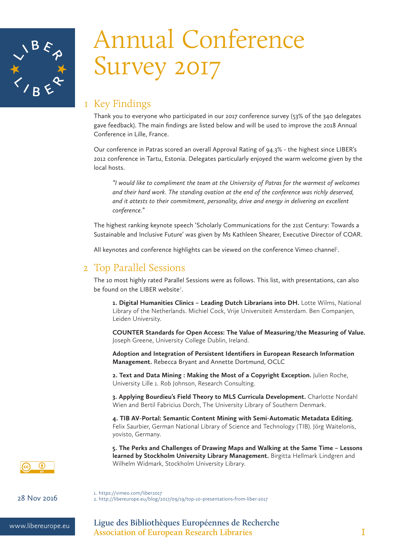

# Annual Conference Survey 2017

# 1 Key Findings

Thank you to everyone who participated in our 2017 conference survey (53% of the 340 delegates gave feedback). The main findings are listed below and will be used to improve the 2018 Annual Conference in Lille, France.

Our conference in Patras scored an overall Approval Rating of 94.3% - the highest since LIBER's 2012 conference in Tartu, Estonia. Delegates particularly enjoyed the warm welcome given by the local hosts.

*"I would like to compliment the team at the University of Patras for the warmest of welcomes and their hard work. The standing ovation at the end of the conference was richly deserved, and it attests to their commitment, personality, drive and energy in delivering an excellent conference."*

The highest ranking keynote speech 'Scholarly Communications for the 21st Century: Towards a Sustainable and Inclusive Future' was given by Ms Kathleen Shearer, Executive Director of COAR.

All keynotes and conference highlights can be viewed on the conference Vimeo channel $^{\rm l}$ .

## 2 Top Parallel Sessions

The 10 most highly rated Parallel Sessions were as follows. This list, with presentations, can also be found on the LIBER website<sup>2</sup>.

1. Digital Humanities Clinics - Leading Dutch Librarians into DH. Lotte Wilms, National Library of the Netherlands. Michiel Cock, Vrije Universiteit Amsterdam. Ben Companjen, Leiden University.

**COUNTER Standards for Open Access: The Value of Measuring/the Measuring of Value.**  Joseph Greene, University College Dublin, Ireland.

**Adoption and Integration of Persistent Identifiers in European Research Information Management.** Rebecca Bryant and Annette Dortmund, OCLC

**2. Text and Data Mining : Making the Most of a Copyright Exception.** Julien Roche, University Lille 1. Rob Johnson, Research Consulting.

**3. Applying Bourdieu's Field Theory to MLS Curricula Development.** Charlotte Nordahl Wien and Bertil Fabricius Dorch, The University Library of Southern Denmark.

**4. TIB AV-Portal: Semantic Content Mining with Semi-Automatic Metadata Editing.**  Felix Saurbier, German National Library of Science and Technology (TIB). Jörg Waitelonis, yovisto, Germany.

**5. The Perks and Challenges of Drawing Maps and Walking at the Same Time – Lessons learned by Stockholm University Library Management.** Birgitta Hellmark Lindgren and Wilhelm Widmark, Stockholm University Library.



1. https://vimeo.com/liber2017 28 Nov 2016 2. http://libereurope.eu/blog/2017/09/19/top-10-presentations-from-liber-2017

www.libereurope.eu **Ligue des Bibliothèques Européennes de Recherche Association of European Research Libraries** 1